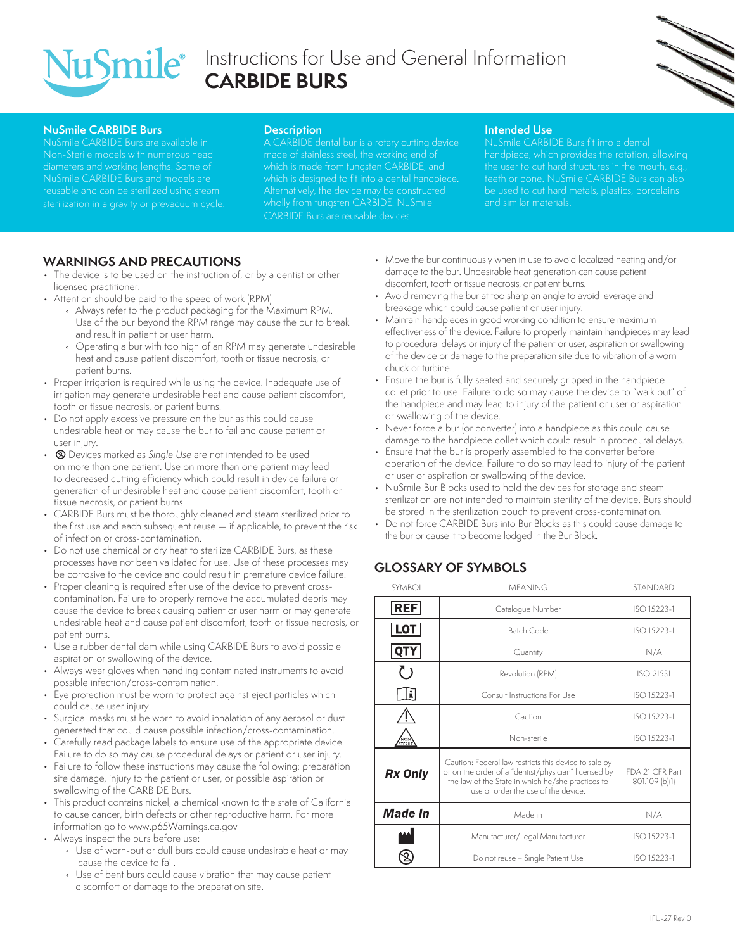

# $\mathbf{u}\mathbf{S}\mathbf{mile}^*$  Instructions for Use and General Information **CARBIDE BURS**



#### **NuSmile CARBIDE Burs**

Non-Sterile models with numerous head

#### **Description**

A CARBIDE dental bur is a rotary cutting device made of stainless steel, the working end of wholly from tungsten CARBIDE. NuSmile CARBIDE Burs are reusable devices.

#### **Intended Use**

be used to cut hard metals, plastics, porcelains

## **WARNINGS AND PRECAUTIONS**

- The device is to be used on the instruction of, or by a dentist or other licensed practitioner.
- Attention should be paid to the speed of work (RPM)
	- Always refer to the product packaging for the Maximum RPM. Use of the bur beyond the RPM range may cause the bur to break and result in patient or user harm.
	- Operating a bur with too high of an RPM may generate undesirable heat and cause patient discomfort, tooth or tissue necrosis, or patient burns.
- Proper irrigation is required while using the device. Inadequate use of irrigation may generate undesirable heat and cause patient discomfort, tooth or tissue necrosis, or patient burns.
- Do not apply excessive pressure on the bur as this could cause undesirable heat or may cause the bur to fail and cause patient or user injury.
- Devices marked as Single Use are not intended to be used on more than one patient. Use on more than one patient may lead to decreased cutting efficiency which could result in device failure or generation of undesirable heat and cause patient discomfort, tooth or tissue necrosis, or patient burns.
- CARBIDE Burs must be thoroughly cleaned and steam sterilized prior to the first use and each subsequent reuse — if applicable, to prevent the risk of infection or cross-contamination.
- Do not use chemical or dry heat to sterilize CARBIDE Burs, as these processes have not been validated for use. Use of these processes may be corrosive to the device and could result in premature device failure.
- Proper cleaning is required after use of the device to prevent crosscontamination. Failure to properly remove the accumulated debris may cause the device to break causing patient or user harm or may generate undesirable heat and cause patient discomfort, tooth or tissue necrosis, or patient burns.
- Use a rubber dental dam while using CARBIDE Burs to avoid possible aspiration or swallowing of the device.
- Always wear gloves when handling contaminated instruments to avoid possible infection/cross-contamination.
- Eye protection must be worn to protect against eject particles which could cause user injury.
- Surgical masks must be worn to avoid inhalation of any aerosol or dust generated that could cause possible infection/cross-contamination.
- Carefully read package labels to ensure use of the appropriate device. Failure to do so may cause procedural delays or patient or user injury.
- Failure to follow these instructions may cause the following: preparation site damage, injury to the patient or user, or possible aspiration or swallowing of the CARBIDE Burs.
- This product contains nickel, a chemical known to the state of California to cause cancer, birth defects or other reproductive harm. For more information go to www.p65Warnings.ca.gov
- Always inspect the burs before use:
	- Use of worn-out or dull burs could cause undesirable heat or may cause the device to fail.
	- Use of bent burs could cause vibration that may cause patient discomfort or damage to the preparation site.
- Move the bur continuously when in use to avoid localized heating and/or damage to the bur. Undesirable heat generation can cause patient discomfort, tooth or tissue necrosis, or patient burns.
- Avoid removing the bur at too sharp an angle to avoid leverage and breakage which could cause patient or user injury.
- Maintain handpieces in good working condition to ensure maximum effectiveness of the device. Failure to properly maintain handpieces may lead to procedural delays or injury of the patient or user, aspiration or swallowing of the device or damage to the preparation site due to vibration of a worn chuck or turbine.
- Ensure the bur is fully seated and securely gripped in the handpiece collet prior to use. Failure to do so may cause the device to "walk out" of the handpiece and may lead to injury of the patient or user or aspiration or swallowing of the device.
- Never force a bur (or converter) into a handpiece as this could cause damage to the handpiece collet which could result in procedural delays.
- Ensure that the bur is properly assembled to the converter before operation of the device. Failure to do so may lead to injury of the patient or user or aspiration or swallowing of the device.
- NuSmile Bur Blocks used to hold the devices for storage and steam sterilization are not intended to maintain sterility of the device. Burs should be stored in the sterilization pouch to prevent cross-contamination.
- Do not force CARBIDE Burs into Bur Blocks as this could cause damage to the bur or cause it to become lodged in the Bur Block.

# **GLOSSARY OF SYMBOLS**

| SYMBOL          | <b>MFANING</b>                                                                                                                                                                                            | STANDARD                          |
|-----------------|-----------------------------------------------------------------------------------------------------------------------------------------------------------------------------------------------------------|-----------------------------------|
| <b>REF</b>      | Cataloque Number                                                                                                                                                                                          | ISO 15223-1                       |
| <b>LOT</b>      | <b>Batch Code</b>                                                                                                                                                                                         | ISO 15223-1                       |
| <b>QTY</b>      | Quantity                                                                                                                                                                                                  | N/A                               |
| ( 5             | Revolution (RPM)                                                                                                                                                                                          | ISO 21531                         |
| Ŀ               | Consult Instructions For Use                                                                                                                                                                              | ISO 15223-1                       |
|                 | Caution                                                                                                                                                                                                   | ISO 15223-1                       |
| NON)<br>STERILE | Non-sterile                                                                                                                                                                                               | ISO 15223-1                       |
| <b>Rx Only</b>  | Caution: Federal law restricts this device to sale by<br>or on the order of a "dentist/physician" licensed by<br>the law of the State in which he/she practices to<br>use or order the use of the device. | FDA 21 CFR Part<br>801.109 (b)(1) |
| Made In         | Made in                                                                                                                                                                                                   | N/A                               |
|                 | Manufacturer/Legal Manufacturer                                                                                                                                                                           | ISO 15223-1                       |
|                 | Do not reuse - Single Patient Use                                                                                                                                                                         | ISO 15223-1                       |